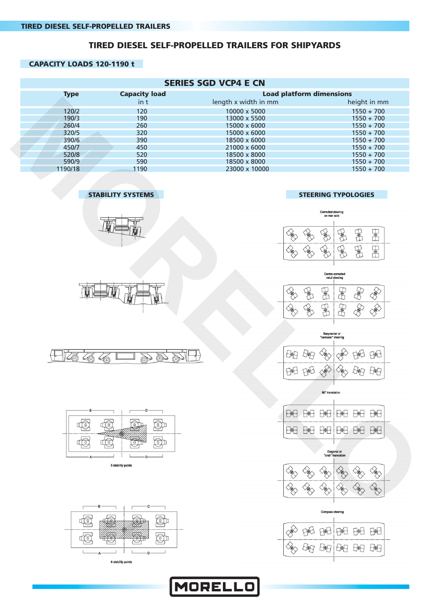#### **TIRED DIESEL SELF-PROPELLED TRAILERS FOR SHIPYARDS**

#### **CAPACITY LOADS 120-1190 t**

|                                                        | <b>SERIES SGD VCP4 E CN</b>      |                                                                                                                                                                                                                                                                                                                                                                                                                                                                                                                                                                                                                                                                                                                            |
|--------------------------------------------------------|----------------------------------|----------------------------------------------------------------------------------------------------------------------------------------------------------------------------------------------------------------------------------------------------------------------------------------------------------------------------------------------------------------------------------------------------------------------------------------------------------------------------------------------------------------------------------------------------------------------------------------------------------------------------------------------------------------------------------------------------------------------------|
| <b>Capacity load</b><br><b>Type</b>                    | <b>Load platform dimensions</b>  |                                                                                                                                                                                                                                                                                                                                                                                                                                                                                                                                                                                                                                                                                                                            |
| in t                                                   | length x width in mm             | height in mm                                                                                                                                                                                                                                                                                                                                                                                                                                                                                                                                                                                                                                                                                                               |
| 120/2<br>120                                           | 10000 x 5000                     | $1550 + 700$                                                                                                                                                                                                                                                                                                                                                                                                                                                                                                                                                                                                                                                                                                               |
| 190/3<br>190                                           | 13000 x 5500                     | $1550 + 700$                                                                                                                                                                                                                                                                                                                                                                                                                                                                                                                                                                                                                                                                                                               |
| 260/4<br>260                                           | 15000 x 6000                     | $1550 + 700$                                                                                                                                                                                                                                                                                                                                                                                                                                                                                                                                                                                                                                                                                                               |
| 320/5<br>320                                           | 15000 x 6000                     | $1550 + 700$                                                                                                                                                                                                                                                                                                                                                                                                                                                                                                                                                                                                                                                                                                               |
|                                                        |                                  |                                                                                                                                                                                                                                                                                                                                                                                                                                                                                                                                                                                                                                                                                                                            |
| 390/6<br>390                                           | 18500 x 6000                     | $1550 + 700$                                                                                                                                                                                                                                                                                                                                                                                                                                                                                                                                                                                                                                                                                                               |
| 450/7<br>450                                           | 21000 x 6000                     | $1550 + 700$                                                                                                                                                                                                                                                                                                                                                                                                                                                                                                                                                                                                                                                                                                               |
| 520/8<br>520                                           | 18500 x 8000                     | $1550 + 700$                                                                                                                                                                                                                                                                                                                                                                                                                                                                                                                                                                                                                                                                                                               |
| 590/9<br>590                                           | 18500 x 8000                     | $1550 + 700$                                                                                                                                                                                                                                                                                                                                                                                                                                                                                                                                                                                                                                                                                                               |
| 1190/18<br>1190                                        | 23000 x 10000                    | $1550 + 700$                                                                                                                                                                                                                                                                                                                                                                                                                                                                                                                                                                                                                                                                                                               |
|                                                        |                                  |                                                                                                                                                                                                                                                                                                                                                                                                                                                                                                                                                                                                                                                                                                                            |
| <b>STABILITY SYSTEMS</b>                               |                                  | <b>STEERING TYPOLOGIES</b>                                                                                                                                                                                                                                                                                                                                                                                                                                                                                                                                                                                                                                                                                                 |
|                                                        |                                  | Corrected steering<br>on rear axle                                                                                                                                                                                                                                                                                                                                                                                                                                                                                                                                                                                                                                                                                         |
|                                                        |                                  |                                                                                                                                                                                                                                                                                                                                                                                                                                                                                                                                                                                                                                                                                                                            |
|                                                        |                                  | 量<br>量<br>量                                                                                                                                                                                                                                                                                                                                                                                                                                                                                                                                                                                                                                                                                                                |
|                                                        |                                  | 電<br>量<br>量<br>E                                                                                                                                                                                                                                                                                                                                                                                                                                                                                                                                                                                                                                                                                                           |
|                                                        |                                  |                                                                                                                                                                                                                                                                                                                                                                                                                                                                                                                                                                                                                                                                                                                            |
|                                                        |                                  | Centre corrected<br>valut steering                                                                                                                                                                                                                                                                                                                                                                                                                                                                                                                                                                                                                                                                                         |
|                                                        |                                  | 国<br><b>RESERVA</b><br>日配<br>医                                                                                                                                                                                                                                                                                                                                                                                                                                                                                                                                                                                                                                                                                             |
|                                                        |                                  | 量<br>EMED<br>ERED                                                                                                                                                                                                                                                                                                                                                                                                                                                                                                                                                                                                                                                                                                          |
|                                                        |                                  | $\begin{picture}(120,140)(-20,0) \put(0,0){\line(1,0){150}} \put(15,0){\line(1,0){150}} \put(15,0){\line(1,0){150}} \put(15,0){\line(1,0){150}} \put(15,0){\line(1,0){150}} \put(15,0){\line(1,0){150}} \put(15,0){\line(1,0){150}} \put(15,0){\line(1,0){150}} \put(15,0){\line(1,0){150}} \put(15,0){\line(1,0){150}} \put(15,0){\line(1$                                                                                                                                                                                                                                                                                                                                                                                |
|                                                        |                                  | Barycenter or<br>"carousel" steering                                                                                                                                                                                                                                                                                                                                                                                                                                                                                                                                                                                                                                                                                       |
|                                                        | 七制                               | 田<br>中制                                                                                                                                                                                                                                                                                                                                                                                                                                                                                                                                                                                                                                                                                                                    |
| Þ<br>$\bigoplus$                                       |                                  |                                                                                                                                                                                                                                                                                                                                                                                                                                                                                                                                                                                                                                                                                                                            |
|                                                        | 田田                               | 上帆<br>L/略-J                                                                                                                                                                                                                                                                                                                                                                                                                                                                                                                                                                                                                                                                                                                |
|                                                        |                                  | 90° translation                                                                                                                                                                                                                                                                                                                                                                                                                                                                                                                                                                                                                                                                                                            |
| в                                                      | $E \oplus E$<br>$f_{\text{eff}}$ | $E \oplus E$<br>E<br>$E_{\text{H}}$<br>8€                                                                                                                                                                                                                                                                                                                                                                                                                                                                                                                                                                                                                                                                                  |
| $\odot$<br>$\widehat{\mathbb{R}}$<br>40<br>$\bigoplus$ | $E \oplus E$<br>E                | E<br>E<br>$E + E$<br>$E \oplus E$                                                                                                                                                                                                                                                                                                                                                                                                                                                                                                                                                                                                                                                                                          |
| $\bigoplus$<br>40<br>40<br>$\mathbb{S}$                |                                  |                                                                                                                                                                                                                                                                                                                                                                                                                                                                                                                                                                                                                                                                                                                            |
|                                                        |                                  | Diagonal or<br>"crab" translation                                                                                                                                                                                                                                                                                                                                                                                                                                                                                                                                                                                                                                                                                          |
| 3 stability points                                     | $\overline{\mathscr{R}}$         | <b>RES</b><br>$\frac{1}{\sqrt{2}}\sum_{i=1}^{N}\left( \frac{1}{\sqrt{2}}\right) ^{i}\left( \frac{1}{\sqrt{2}}\right) ^{i}\left( \frac{1}{\sqrt{2}}\right) ^{i}\left( \frac{1}{\sqrt{2}}\right) ^{i}\left( \frac{1}{\sqrt{2}}\right) ^{i}\left( \frac{1}{\sqrt{2}}\right) ^{i}\left( \frac{1}{\sqrt{2}}\right) ^{i}\left( \frac{1}{\sqrt{2}}\right) ^{i}\left( \frac{1}{\sqrt{2}}\right) ^{i}\left( \frac{1}{\sqrt{2}}\right) ^{i}\left( \frac{1}{\sqrt{$<br><b>SERIES</b><br>X                                                                                                                                                                                                                                             |
|                                                        |                                  |                                                                                                                                                                                                                                                                                                                                                                                                                                                                                                                                                                                                                                                                                                                            |
|                                                        |                                  | $\begin{picture}(220,20) \put(0,0){\line(1,0){10}} \put(15,0){\line(1,0){10}} \put(15,0){\line(1,0){10}} \put(15,0){\line(1,0){10}} \put(15,0){\line(1,0){10}} \put(15,0){\line(1,0){10}} \put(15,0){\line(1,0){10}} \put(15,0){\line(1,0){10}} \put(15,0){\line(1,0){10}} \put(15,0){\line(1,0){10}} \put(15,0){\line(1,0){10}} \put(15,0){\line($<br><b>RED</b><br>X<br>$\begin{picture}(120,140)(-20,0) \put(0,0){\line(1,0){15}} \put(15,0){\line(1,0){15}} \put(15,0){\line(1,0){15}} \put(15,0){\line(1,0){15}} \put(15,0){\line(1,0){15}} \put(15,0){\line(1,0){15}} \put(15,0){\line(1,0){15}} \put(15,0){\line(1,0){15}} \put(15,0){\line(1,0){15}} \put(15,0){\line(1,0){15}} \put(15,0){\line(1,0){15}} \put(1$ |
| -B-<br>۰C-                                             |                                  | Compage etgaring                                                                                                                                                                                                                                                                                                                                                                                                                                                                                                                                                                                                                                                                                                           |

MORELLO

#### **STABILITY SYSTEMS STEERING TYPOLOGIES**























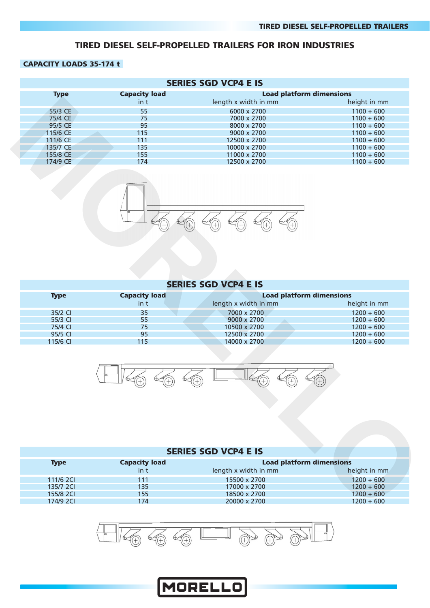#### **TIRED DIESEL SELF-PROPELLED TRAILERS FOR IRON INDUSTRIES**

#### **CAPACITY LOADS 35-174 t**

|                     |                           | <b>SERIES SGD VCP4 E IS</b>                                    |                              |
|---------------------|---------------------------|----------------------------------------------------------------|------------------------------|
| <b>Type</b>         | <b>Capacity load</b>      | <b>Load platform dimensions</b>                                |                              |
|                     | $\mathsf{in}\ \mathsf{t}$ | length x width in mm                                           | height in mm                 |
| 55/3 CE             | 55                        | 6000 x 2700                                                    | $1100 + 600$                 |
| 75/4 CE             | 75                        | 7000 x 2700                                                    | $1100 + 600$                 |
| 95/5 CE             | 95                        | 8000 x 2700                                                    | $1100 + 600$                 |
| 115/6 CE            | 115                       | 9000 x 2700                                                    | $1100 + 600$                 |
| 111/6 CE            | 111                       | 12500 x 2700                                                   | $1100 + 600$                 |
| 135/7 CE            | 135                       | 10000 x 2700                                                   | $1100 + 600$                 |
| 155/8 CE            | 155                       |                                                                | $1100 + 600$                 |
| 174/9 CE            | 174                       | 11000 x 2700<br>12500 x 2700                                   | $1100 + 600$                 |
|                     |                           |                                                                |                              |
|                     |                           | <b>SERIES SGD VCP4 E IS</b>                                    |                              |
| <b>Type</b>         | <b>Capacity load</b>      | <b>Load platform dimensions</b>                                |                              |
|                     | in t                      | length x width in mm                                           | height in mm                 |
| 35/2 CI             | 35                        | 7000 x 2700                                                    | $1200 + 600$                 |
|                     | 55                        |                                                                |                              |
| 55/3 CI             |                           | 9000 x 2700                                                    | $1200 + 600$                 |
| 75/4 CI             | 75                        | 10500 x 2700                                                   | $1200 + 600$                 |
| 95/5 CI<br>115/6 CI | 95<br>115                 | 12500 x 2700<br>14000 x 2700                                   | $1200 + 600$<br>$1200 + 600$ |
|                     |                           |                                                                |                              |
| <b>Type</b>         | <b>Capacity load</b>      | <b>SERIES SGD VCP4 E IS</b><br><b>Load platform dimensions</b> |                              |
|                     | $in$ t                    | length x width in mm                                           | height in mm                 |
| 111/6 2Cl           | 111                       | 15500 x 2700                                                   | $1200 + 600$                 |
| 135/7 2CI           | 135                       | 17000 x 2700                                                   | $1200 + 600$                 |
| 155/8 2Cl           | 155                       | 18500 x 2700                                                   | $1200 + 600$                 |



#### **SERIES SGD VCP4 E IS**

| <b>Type</b> | <b>Capacity load</b> |                      | <b>Load platform dimensions</b> |  |  |
|-------------|----------------------|----------------------|---------------------------------|--|--|
|             | $\int$ in t          | length x width in mm | height in mm                    |  |  |
| 35/2 CI     | 35                   | 7000 x 2700          | $1200 + 600$                    |  |  |
| 55/3 CI     | 55                   | $9000 \times 2700$   | $1200 + 600$                    |  |  |
| 75/4 CL     | 75                   | 10500 x 2700         | $1200 + 600$                    |  |  |
| 95/5 CI     | 95                   | 12500 x 2700         | $1200 + 600$                    |  |  |
| 115/6 CI    | 115                  | 14000 x 2700         | $1200 + 600$                    |  |  |



#### **SERIES SGD VCP4 E IS**

| <b>Type</b> | <b>Capacity load</b> | <b>Load platform dimensions</b> |              |
|-------------|----------------------|---------------------------------|--------------|
|             | in t                 | length x width in mm            | height in mm |
| 111/6 2CL   | 111                  | 15500 x 2700                    | $1200 + 600$ |
| 135/7 2CL   | 135                  | 17000 x 2700                    | $1200 + 600$ |
| 155/8 2CL   | 155                  | 18500 x 2700                    | $1200 + 600$ |
| 174/9 2CL   | 174                  | 20000 x 2700                    | $1200 + 600$ |

![](_page_1_Picture_10.jpeg)

![](_page_1_Picture_11.jpeg)